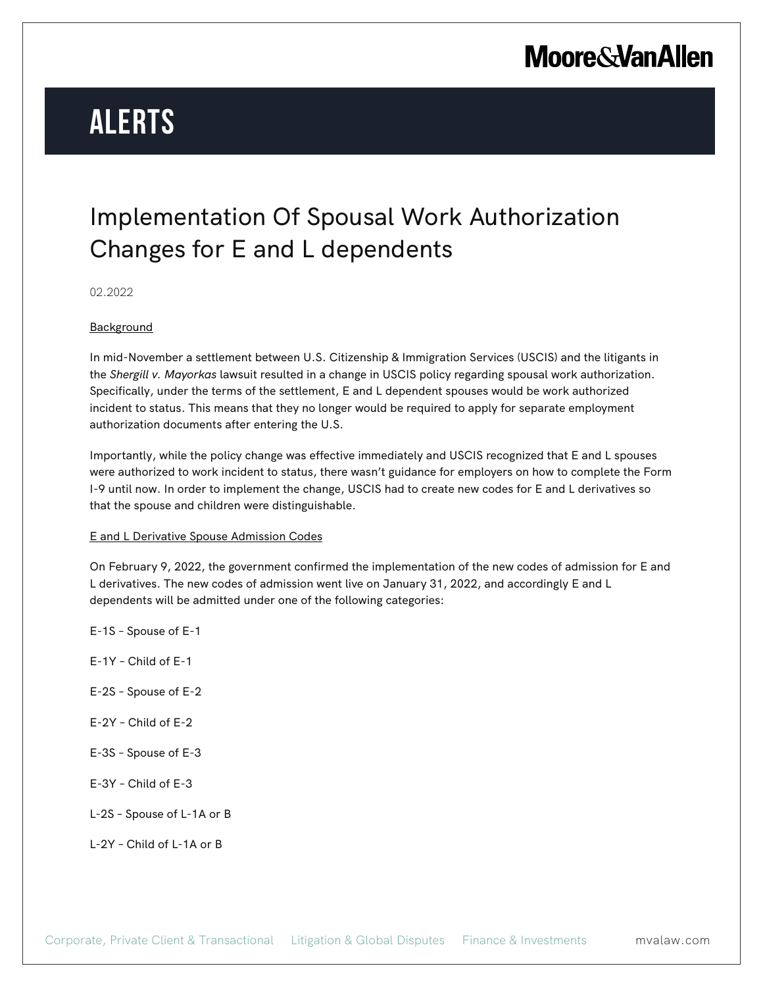# **Moore & Van Allen**

# **Alerts**

### Implementation Of Spousal Work Authorization Changes for E and L dependents

02.2022

#### **Background**

In mid-November a settlement between U.S. Citizenship & Immigration Services (USCIS) and the litigants in the *Shergill v. Mayorkas* lawsuit resulted in a change in USCIS policy regarding spousal work authorization. Specifically, under the terms of the settlement, E and L dependent spouses would be work authorized incident to status. This means that they no longer would be required to apply for separate employment authorization documents after entering the U.S.

Importantly, while the policy change was effective immediately and USCIS recognized that E and L spouses were authorized to work incident to status, there wasn't guidance for employers on how to complete the Form I-9 until now. In order to implement the change, USCIS had to create new codes for E and L derivatives so that the spouse and children were distinguishable.

#### E and L Derivative Spouse Admission Codes

On February 9, 2022, the government confirmed the implementation of the new codes of admission for E and L derivatives. The new codes of admission went live on January 31, 2022, and accordingly E and L dependents will be admitted under one of the following categories:

- E-1S Spouse of E-1 E-1Y – Child of E-1
- E-2S Spouse of E-2
- E-2Y Child of E-2
- E-3S Spouse of E-3
- E-3Y Child of E-3
- L-2S Spouse of L-1A or B
- L-2Y Child of L-1A or B